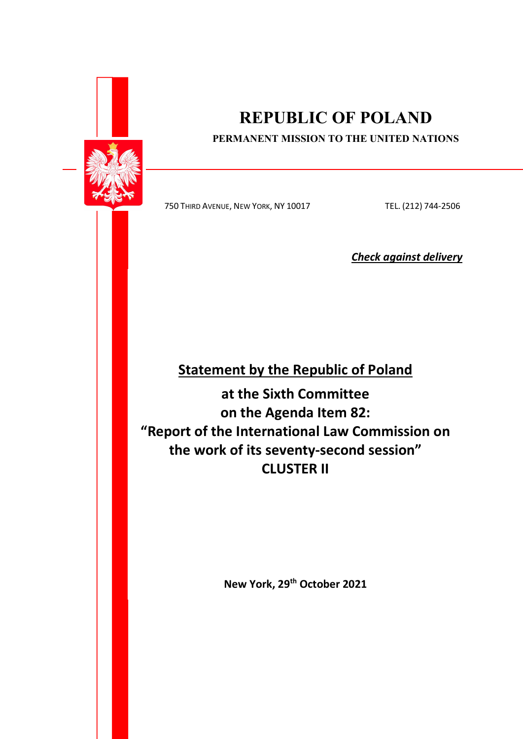

# REPUBLIC OF POLAND

### PERMANENT MISSION TO THE UNITED NATIONS

750 THIRD AVENUE, NEW YORK, NY 10017 TEL. (212) 744-2506

Check against delivery

## Statement by the Republic of Poland

at the Sixth Committee on the Agenda Item 82: "Report of the International Law Commission on the work of its seventy-second session" CLUSTER II

New York, 29<sup>th</sup> October 2021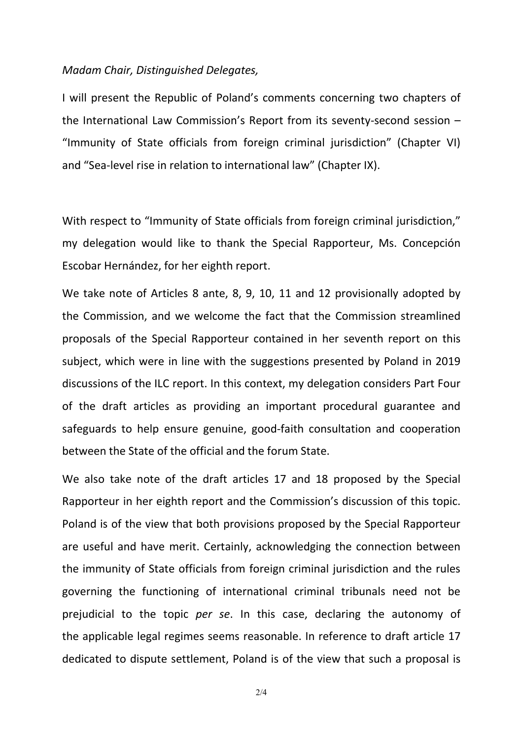### Madam Chair, Distinguished Delegates,

I will present the Republic of Poland's comments concerning two chapters of the International Law Commission's Report from its seventy-second session – "Immunity of State officials from foreign criminal jurisdiction" (Chapter VI) and "Sea-level rise in relation to international law" (Chapter IX).

With respect to "Immunity of State officials from foreign criminal jurisdiction," my delegation would like to thank the Special Rapporteur, Ms. Concepción Escobar Hernández, for her eighth report.

We take note of Articles 8 ante, 8, 9, 10, 11 and 12 provisionally adopted by the Commission, and we welcome the fact that the Commission streamlined proposals of the Special Rapporteur contained in her seventh report on this subject, which were in line with the suggestions presented by Poland in 2019 discussions of the ILC report. In this context, my delegation considers Part Four of the draft articles as providing an important procedural guarantee and safeguards to help ensure genuine, good-faith consultation and cooperation between the State of the official and the forum State.

We also take note of the draft articles 17 and 18 proposed by the Special Rapporteur in her eighth report and the Commission's discussion of this topic. Poland is of the view that both provisions proposed by the Special Rapporteur are useful and have merit. Certainly, acknowledging the connection between the immunity of State officials from foreign criminal jurisdiction and the rules governing the functioning of international criminal tribunals need not be prejudicial to the topic per se. In this case, declaring the autonomy of the applicable legal regimes seems reasonable. In reference to draft article 17 dedicated to dispute settlement, Poland is of the view that such a proposal is

2/4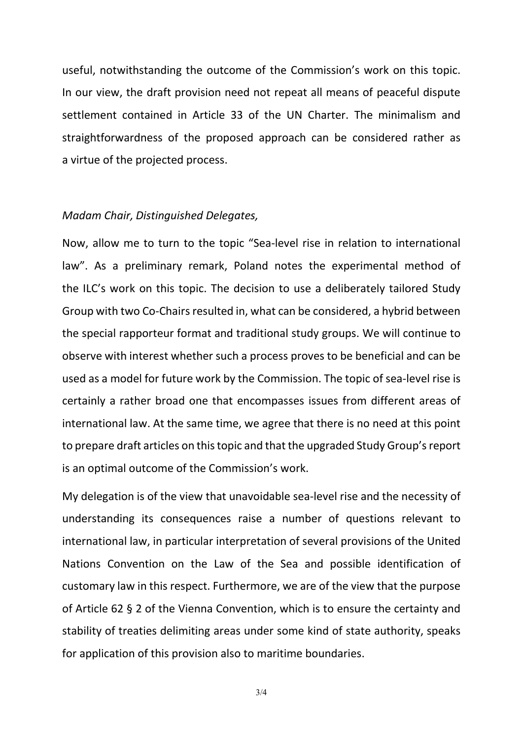useful, notwithstanding the outcome of the Commission's work on this topic. In our view, the draft provision need not repeat all means of peaceful dispute settlement contained in Article 33 of the UN Charter. The minimalism and straightforwardness of the proposed approach can be considered rather as a virtue of the projected process.

### Madam Chair, Distinguished Delegates,

Now, allow me to turn to the topic "Sea-level rise in relation to international law". As a preliminary remark, Poland notes the experimental method of the ILC's work on this topic. The decision to use a deliberately tailored Study Group with two Co-Chairs resulted in, what can be considered, a hybrid between the special rapporteur format and traditional study groups. We will continue to observe with interest whether such a process proves to be beneficial and can be used as a model for future work by the Commission. The topic of sea-level rise is certainly a rather broad one that encompasses issues from different areas of international law. At the same time, we agree that there is no need at this point to prepare draft articles on this topic and that the upgraded Study Group's report is an optimal outcome of the Commission's work.

My delegation is of the view that unavoidable sea-level rise and the necessity of understanding its consequences raise a number of questions relevant to international law, in particular interpretation of several provisions of the United Nations Convention on the Law of the Sea and possible identification of customary law in this respect. Furthermore, we are of the view that the purpose of Article 62 § 2 of the Vienna Convention, which is to ensure the certainty and stability of treaties delimiting areas under some kind of state authority, speaks for application of this provision also to maritime boundaries.

3/4